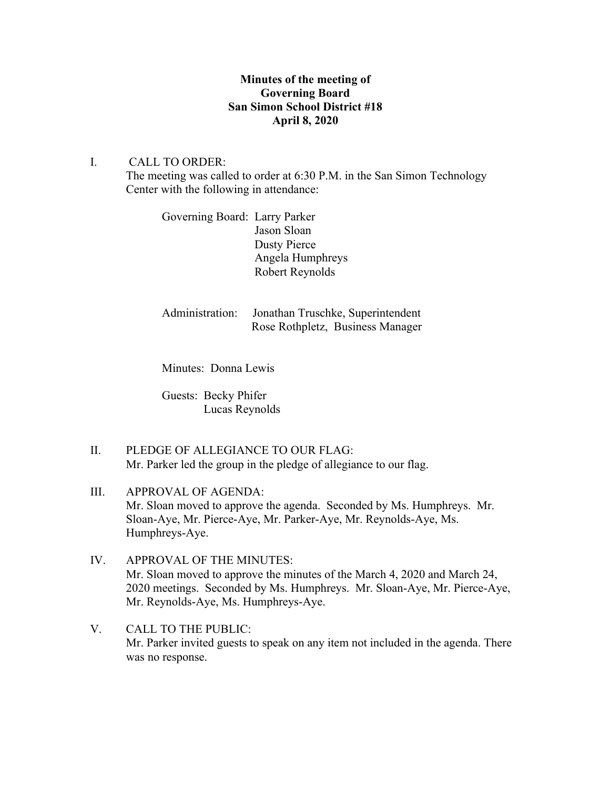## **Minutes of the meeting of Governing Board San Simon School District #18 April 8, 2020**

## I. CALL TO ORDER:

The meeting was called to order at 6:30 P.M. in the San Simon Technology Center with the following in attendance:

Governing Board: Larry Parker Jason Sloan Dusty Pierce Angela Humphreys Robert Reynolds

Administration: Jonathan Truschke, Superintendent Rose Rothpletz, Business Manager

Minutes: Donna Lewis

Guests: Becky Phifer Lucas Reynolds

- II. PLEDGE OF ALLEGIANCE TO OUR FLAG: Mr. Parker led the group in the pledge of allegiance to our flag.
- III. APPROVAL OF AGENDA: Mr. Sloan moved to approve the agenda. Seconded by Ms. Humphreys. Mr. Sloan-Aye, Mr. Pierce-Aye, Mr. Parker-Aye, Mr. Reynolds-Aye, Ms. Humphreys-Aye.
- IV. APPROVAL OF THE MINUTES: Mr. Sloan moved to approve the minutes of the March 4, 2020 and March 24, 2020 meetings. Seconded by Ms. Humphreys. Mr. Sloan-Aye, Mr. Pierce-Aye, Mr. Reynolds-Aye, Ms. Humphreys-Aye.
- V. CALL TO THE PUBLIC: Mr. Parker invited guests to speak on any item not included in the agenda. There was no response.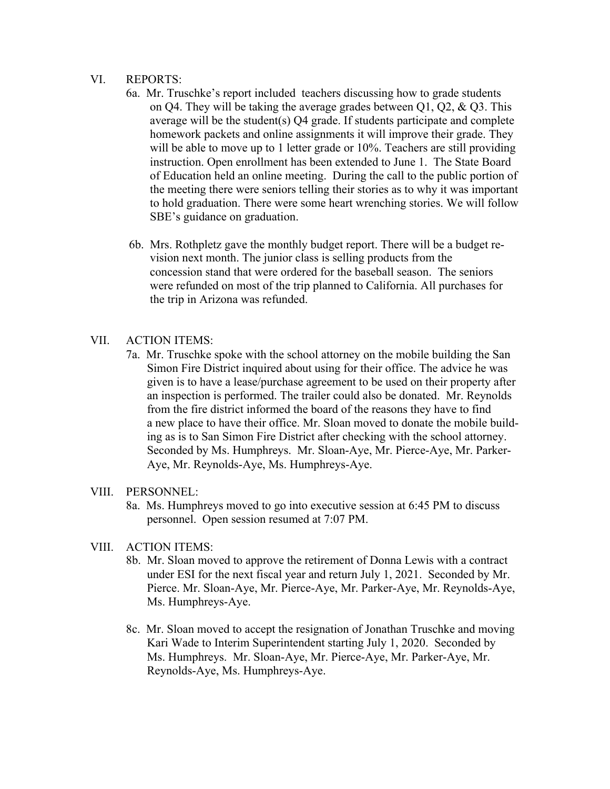#### VI. REPORTS:

- 6a. Mr. Truschke's report included teachers discussing how to grade students on Q4. They will be taking the average grades between  $Q1$ ,  $Q2$ ,  $\&$   $Q3$ . This average will be the student(s) Q4 grade. If students participate and complete homework packets and online assignments it will improve their grade. They will be able to move up to 1 letter grade or 10%. Teachers are still providing instruction. Open enrollment has been extended to June 1. The State Board of Education held an online meeting. During the call to the public portion of the meeting there were seniors telling their stories as to why it was important to hold graduation. There were some heart wrenching stories. We will follow SBE's guidance on graduation.
- 6b. Mrs. Rothpletz gave the monthly budget report. There will be a budget re vision next month. The junior class is selling products from the concession stand that were ordered for the baseball season. The seniors were refunded on most of the trip planned to California. All purchases for the trip in Arizona was refunded.

### VII. ACTION ITEMS:

7a. Mr. Truschke spoke with the school attorney on the mobile building the San Simon Fire District inquired about using for their office. The advice he was given is to have a lease/purchase agreement to be used on their property after an inspection is performed. The trailer could also be donated. Mr. Reynolds from the fire district informed the board of the reasons they have to find a new place to have their office. Mr. Sloan moved to donate the mobile build ing as is to San Simon Fire District after checking with the school attorney. Seconded by Ms. Humphreys. Mr. Sloan-Aye, Mr. Pierce-Aye, Mr. Parker- Aye, Mr. Reynolds-Aye, Ms. Humphreys-Aye.

### VIII. PERSONNEL:

8a. Ms. Humphreys moved to go into executive session at 6:45 PM to discuss personnel. Open session resumed at 7:07 PM.

### VIII. ACTION ITEMS:

- 8b. Mr. Sloan moved to approve the retirement of Donna Lewis with a contract under ESI for the next fiscal year and return July 1, 2021. Seconded by Mr. Pierce. Mr. Sloan-Aye, Mr. Pierce-Aye, Mr. Parker-Aye, Mr. Reynolds-Aye, Ms. Humphreys-Aye.
- 8c. Mr. Sloan moved to accept the resignation of Jonathan Truschke and moving Kari Wade to Interim Superintendent starting July 1, 2020. Seconded by Ms. Humphreys. Mr. Sloan-Aye, Mr. Pierce-Aye, Mr. Parker-Aye, Mr. Reynolds-Aye, Ms. Humphreys-Aye.